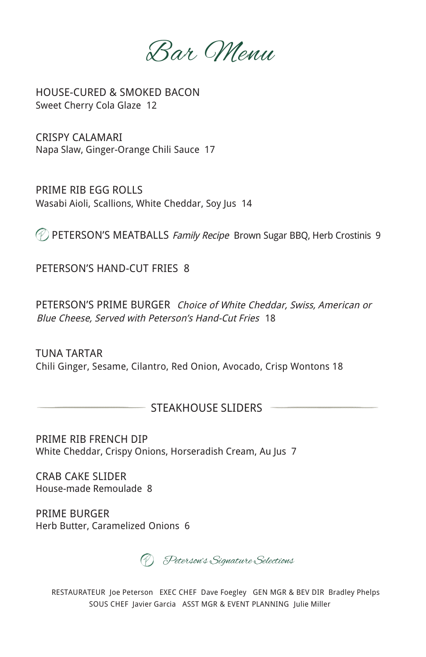Bar Menu

HOUSE-CURED & SMOKED BACON Sweet Cherry Cola Glaze 12

CRISPY CALAMARI Napa Slaw, Ginger-Orange Chili Sauce 17

PRIME RIB EGG ROLLS Wasabi Aioli, Scallions, White Cheddar, Soy Jus 14

**PETERSON'S MEATBALLS Family Recipe Brown Sugar BBQ, Herb Crostinis 9** 

PETERSON'S HAND-CUT FRIES 8

PETERSON'S PRIME BURGER Choice of White Cheddar, Swiss, American or Blue Cheese, Served with Peterson's Hand-Cut Fries 18

Chili Ginger, Sesame, Cilantro, Red Onion, Avocado, Crisp Wontons 18 TUNA TARTAR

#### STEAKHOUSE SLIDERS

PRIME RIB FRENCH DIP White Cheddar, Crispy Onions, Horseradish Cream, Au Jus 7

CRAB CAKE SLIDER House-made Remoulade 8

PRIME BURGER Herb Butter, Caramelized Onions 6

Peterson's Signature Selections

RESTAURATEUR Joe Peterson EXEC CHEF Dave Foegley GEN MGR & BEV DIR Bradley Phelps SOUS CHEF Javier Garcia ASST MGR & EVENT PLANNING Julie Miller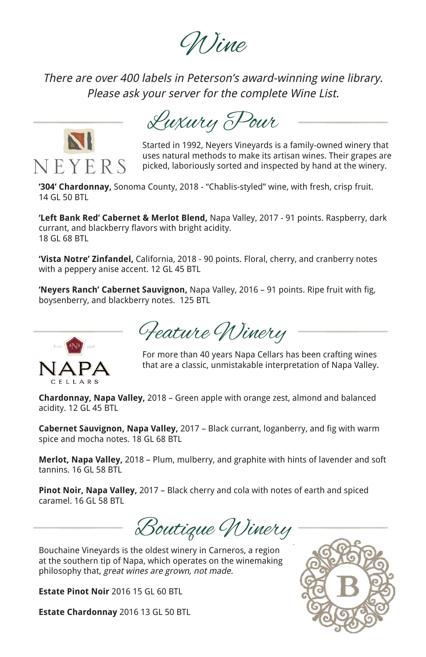Wine

There are over 400 labels in Peterson's award-winning wine library. Please ask your server for the complete Wine List.



Luxury Pour

Started in 1992, Neyers Vineyards is a family-owned winery that uses natural methods to make its artisan wines. Their grapes are picked, laboriously sorted and inspected by hand at the winery.

**'304' Chardonnay,** Sonoma County, 2018 - "Chablis-styled" wine, with fresh, crisp fruit. 14 GL 50 BTL

**'Left Bank Red' Cabernet & Merlot Blend,** Napa Valley, 2017 - 91 points. Raspberry, dark currant, and blackberry flavors with bright acidity. 18 GL 68 BTL

**'Vista Notre' Zinfandel,** California, 2018 - 90 points. Floral, cherry, and cranberry notes with a peppery anise accent. 12 GL 45 BTL

**'Neyers Ranch' Cabernet Sauvignon,** Napa Valley, 2016 – 91 points. Ripe fruit with fig, boysenberry, and blackberry notes. 125 BTL



Feature Winery

For more than 40 years Napa Cellars has been crafting wines that are a classic, unmistakable interpretation of Napa Valley.

**Chardonnay, Napa Valley,** 2018 – Green apple with orange zest, almond and balanced acidity. 12 GL 45 BTL

**Cabernet Sauvignon, Napa Valley,** 2017 – Black currant, loganberry, and fig with warm spice and mocha notes. 18 GL 68 BTL

**Merlot, Napa Valley,** 2018 – Plum, mulberry, and graphite with hints of lavender and soft tannins. 16 GL 58 BTL

**Pinot Noir, Napa Valley,** 2017 – Black cherry and cola with notes of earth and spiced caramel. 16 GL 58 BTL

Boutique Winery

Bouchaine Vineyards is the oldest winery in Carneros, a region at the southern tip of Napa, which operates on the winemaking philosophy that, great wines are grown, not made.

**Estate Pinot Noir** 2016 15 GL 60 BTL

**Estate Chardonnay** 2016 13 GL 50 BTL

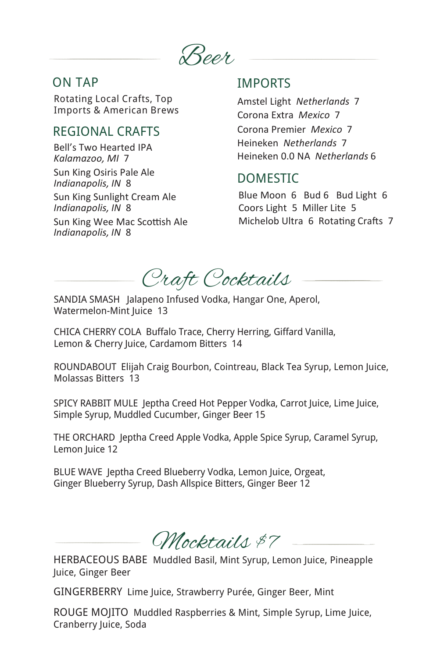

## ON TAP

Rotating Local Crafts, Top Imports & American Brews

# REGIONAL CRAFTS

Bell's Two Hearted IPA *Kalamazoo, MI* 7 Sun King Osiris Pale Ale *Indianapolis, IN* 8 Sun King Sunlight Cream Ale *Indianapolis, IN* 8 Sun King Wee Mac Scottish Ale *Indianapolis, IN* 8

# IMPORTS

Amstel Light *Netherlands* 7 Corona Extra *Mexico* 7 Corona Premier *Mexico* 7 Heineken *Netherlands* 7 Heineken 0.0 NA *Netherlands* 6

# DOMESTIC

Blue Moon 6 Bud 6 Bud Light 6 Coors Light 5 Miller Lite 5 Michelob Ultra 6 Rotating Crafts 7

Craft Cocktails

SANDIA SMASH Jalapeno Infused Vodka, Hangar One, Aperol, Watermelon-Mint Juice 13

CHICA CHERRY COLA Buffalo Trace, Cherry Herring, Giffard Vanilla, Lemon & Cherry Juice, Cardamom Bitters 14

ROUNDABOUT Elijah Craig Bourbon, Cointreau, Black Tea Syrup, Lemon Juice, Molassas Bitters 13

SPICY RABBIT MULE Jeptha Creed Hot Pepper Vodka, Carrot Juice, Lime Juice, Simple Syrup, Muddled Cucumber, Ginger Beer 15

THE ORCHARD Jeptha Creed Apple Vodka, Apple Spice Syrup, Caramel Syrup, Lemon Juice 12

BLUE WAVE Jeptha Creed Blueberry Vodka, Lemon Juice, Orgeat, Ginger Blueberry Syrup, Dash Allspice Bitters, Ginger Beer 12

Mocktails \$7

HERBACEOUS BABE Muddled Basil, Mint Syrup, Lemon Juice, Pineapple Juice, Ginger Beer

GINGERBERRY Lime Juice, Strawberry Purée, Ginger Beer, Mint

ROUGE MOJITO Muddled Raspberries & Mint, Simple Syrup, Lime Juice, Cranberry Juice, Soda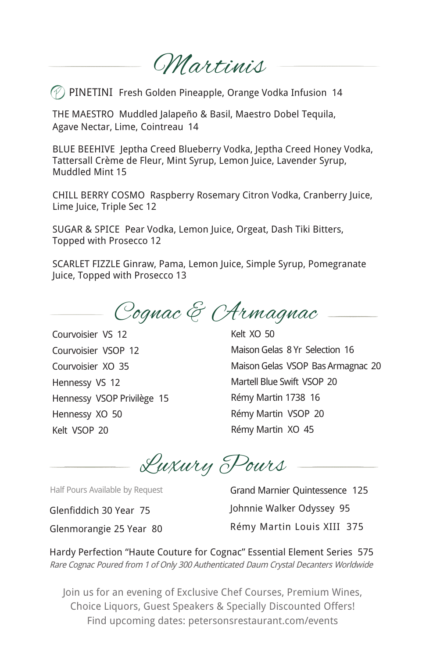Martinis

 $\mathcal P$ ) PINETINI Fresh Golden Pineapple, Orange Vodka Infusion 14

THE MAESTRO Muddled Jalapeño & Basil, Maestro Dobel Tequila, Agave Nectar, Lime, Cointreau 14

BLUE BEEHIVE Jeptha Creed Blueberry Vodka, Jeptha Creed Honey Vodka, Tattersall Crème de Fleur, Mint Syrup, Lemon Juice, Lavender Syrup, Muddled Mint 15

CHILL BERRY COSMO Raspberry Rosemary Citron Vodka, Cranberry Juice, Lime Juice, Triple Sec 12

SUGAR & SPICE Pear Vodka, Lemon Juice, Orgeat, Dash Tiki Bitters, Topped with Prosecco 12

SCARLET FIZZLE Ginraw, Pama, Lemon Juice, Simple Syrup, Pomegranate Juice, Topped with Prosecco 13

Cognac & Armagnac

Courvoisier VS 12 Courvoisier VSOP 12 Courvoisier XO 35 Hennessy VS 12 Hennessy VSOP Privilège 15 Hennessy XO 50 Kelt VSOP 20

Kelt XO 50 MaisonGelas 8 Yr Selection 16 MaisonGelas VSOP BasArmagnac 20 Martell Blue Swift VSOP 20 Rémy Martin 1738 16 Rémy Martin VSOP 20 Rémy Martin XO 45

Luxury Pours

Half Pours Available by Request

Glenfiddich 30 Year 75 Glenmorangie 25 Year 80 Grand Marnier Quintessence 125 Johnnie Walker Odyssey 95 Rémy Martin Louis XIII 375

Hardy Perfection "Haute Couture for Cognac" Essential Element Series 575 Rare Cognac Poured from 1 of Only 300 Authenticated Daum Crystal Decanters Worldwide

Join us for an evening of Exclusive Chef Courses, Premium Wines, Choice Liquors, Guest Speakers & Specially Discounted Offers! Find upcoming dates: petersonsrestaurant.com/events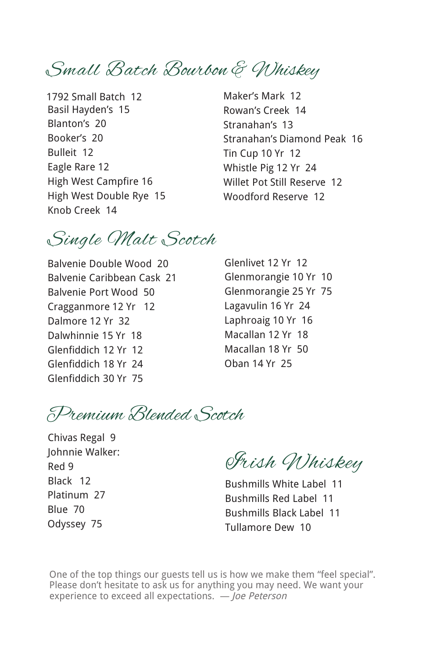Small Batch Bourbon & Whiskey

Basil Hayden's 15 Blanton's 20 Booker's 20 Bulleit 12 Eagle Rare 12 High West Campfire 16 High West Double Rye 15 Knob Creek 14 1792 Small Batch 12

Maker's Mark 12 Rowan's Creek 14 Stranahan's 13 Stranahan's Diamond Peak 16 Tin Cup 10 Yr 12 Whistle Pig 12 Yr 24 Willet Pot Still Reserve 12 Woodford Reserve 12

Single Malt Scotch

Balvenie Double Wood 20 Balvenie Caribbean Cask 21 Balvenie Port Wood 50 Cragganmore 12 Yr 12 Dalmore 12 Yr 32 Dalwhinnie 15 Yr 18 Glenfiddich 12 Yr 12 Glenfiddich 18 Yr 24 Glenfiddich 30 Yr 75

Glenlivet 12 Yr 12 Glenmorangie 10 Yr 10 Glenmorangie 25 Yr 75 Lagavulin 16 Yr 24 Laphroaig 10 Yr 16 Macallan 12 Yr 18 Macallan 18 Yr 50 Oban 14 Yr 25

Premium Blended Scotch

Chivas Regal 9 Johnnie Walker: Red 9 Black 12 Platinum 27 Blue 70 Odyssey 75

Irish Whiskey

Bushmills White Label 11 Bushmills Red Label 11 Bushmills Black Label 11 Tullamore Dew 10

One of the top things our guests tell us is how we make them "feel special". Please don't hesitate to ask us for anything you may need. We want your experience to exceed all expectations. *―* Joe Peterson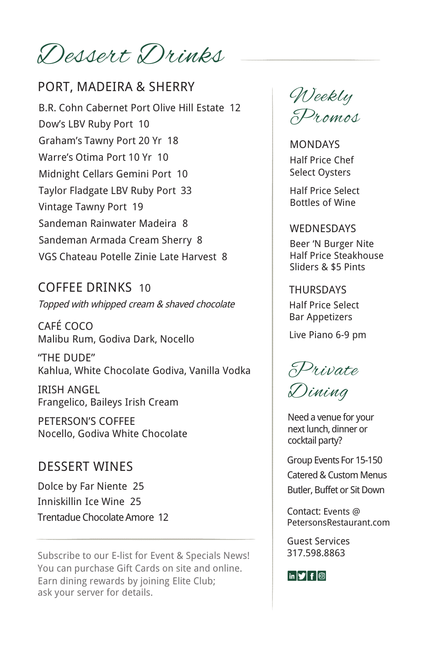Dessert Drinks

B.R. Cohn Cabernet Port Olive Hill Estate 12 Dow's LBV Ruby Port 10 Graham's Tawny Port 20 Yr 18 Warre's Otima Port 10 Yr 10 Midnight Cellars Gemini Port 10 Taylor Fladgate LBV Ruby Port 33 Vintage Tawny Port 19 Sandeman Rainwater Madeira 8 Sandeman Armada Cream Sherry 8 VGS Chateau Potelle Zinie Late Harvest 8 PORT, MADEIRA & SHERRY

COFFEE DRINKS 10 Topped with whipped cream & shaved chocolate

CAFÉ COCO Malibu Rum, Godiva Dark, Nocello

"THE DUDE" Kahlua, White Chocolate Godiva, Vanilla Vodka

IRISH ANGEL Frangelico, Baileys Irish Cream

PETERSON'S COFFEE Nocello, Godiva White Chocolate

### DESSERT WINES

Dolce by Far Niente 25 Inniskillin Ice Wine 25 Trentadue ChocolateAmore 12

Subscribe to our E-list for Event & Specials News! You can purchase Gift Cards on site and online. Earn dining rewards by joining Elite Club; ask your server for details.

Weekly Promos

MONDAYS Half Price Chef Select Oysters

Half Price Select Bottles of Wine

#### WEDNESDAYS

Beer 'N Burger Nite Half Price Steakhouse Sliders & \$5 Pints

**THURSDAYS** Half Price Select Bar Appetizers

Live Piano 6-9 pm



Need a venue for your next lunch, dinner or cocktail party?

Group Events For 15-150 Catered & Custom Menus Butler, Buffet or Sit Down

Contact: Events @ PetersonsRestaurant.com

Guest Services 317.598.8863

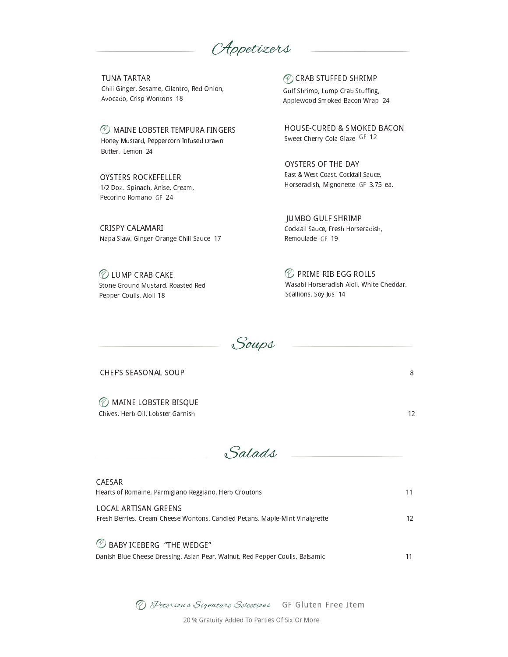Appetizers

**TUNA TARTAR** Chili Ginger, Sesame, Cilantro, Red Onion, Avocado, Crisp Wontons 18

*©* MAINE LOBSTER TEMPURA FINGERS Honey Mustard, Peppercorn Infused Drawn Butter, Lemon 24

**OYSTERS ROCKEFELLER** 1/2 Doz. Spinach, Anise, Cream, Pecorino Romano GF 24

CRISPY CALAMARI Napa Slaw, Ginger-Orange Chili Sauce 17

*©* LUMP CRAB CAKE Stone Ground Mustard, Roasted Red Pepper Coulis, Aioli 18

*©* CRAB STUFFED SHRIMP

Gulf Shrimp, Lump Crab Stuffing, Applewood Smoked Bacon Wrap 24

**HOUSE-CURED & SMOKED BACON** Sweet Cherry Cola Glaze GF 12

OYSTERS OF THE DAY East & West Coast, Cocktail Sauce, Horseradish, Mignonette GF 3.75 ea.

**JUMBO GULF SHRIMP** Cocktail Sauce, Fresh Horseradish, Remoulade GF 19

*©* PRIME RIB EGG ROLLS Wasabi Horseradish Aioli, White Cheddar, Scallions, Soy Jus 14

8

 $12$ 



CHEF'S SEASONAL SOUP

*<sup>2</sup>* MAINE LOBSTER BISQUE Chives, Herb Oil, Lobster Garnish

 $CATECAD$ 

Salads

| CALJAN                                                                       |    |
|------------------------------------------------------------------------------|----|
| Hearts of Romaine, Parmigiano Reggiano, Herb Croutons                        | 11 |
| LOCAL ARTISAN GREENS                                                         |    |
| Fresh Berries, Cream Cheese Wontons, Candied Pecans, Maple-Mint Vinaigrette  | 12 |
| $\mathcal D$ baby iceberg "The Wedge"                                        |    |
| Danish Blue Cheese Dressing, Asian Pear, Walnut, Red Pepper Coulis, Balsamic | 11 |

(D) Peterson's Signature Selections GF Gluten Free Item 20 % Gratuity Added To Parties Of Six Or More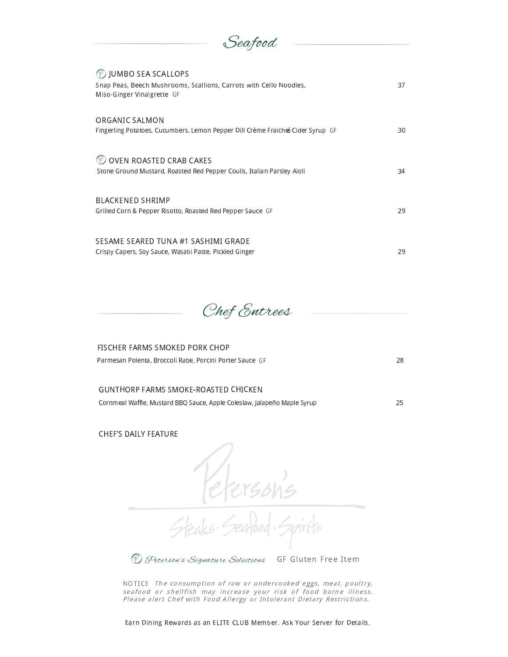| Seafood                                                                                                                                |    |
|----------------------------------------------------------------------------------------------------------------------------------------|----|
| <b><i>D</i></b> JUMBO SEA SCALLOPS<br>Snap Peas, Beech Mushrooms, Scallions, Carrots with Cello Noodles,<br>Miso-Ginger Vinaigrette GF | 37 |
| ORGANIC SALMON<br>Fingerling Potatoes, Cucumbers, Lemon Pepper Dill Crème Fraiche Cider Syrup GF                                       | 30 |
| OVEN ROASTED CRAB CAKES<br>Stone Ground Mustard, Roasted Red Pepper Coulis, Italian Parsley Aioli                                      | 34 |
| BLACKENED SHRIMP<br>Grilled Corn & Pepper Risotto, Roasted Red Pepper Sauce GF                                                         | 29 |
| SESAME SEARED TUNA #1 SASHIMI GRADE<br>Crispy Capers, Soy Sauce, Wasabi Paste, Pickled Ginger                                          | 29 |



| FISCHER FARMS SMOKED PORK CHOP                           |    |
|----------------------------------------------------------|----|
| Parmesan Polenta, Broccoli Rabe, Porcini Porter Sauce GF | 28 |
|                                                          |    |

#### .  " % # <sup>&</sup>lt; : <sup>1</sup> ! " - ! <sup>&</sup>lt;

Cornmeal Waffle, Mustard BBQ Sauce, Apple Coleslaw, Jalapeño Maple Syrup <a>

! " # \$ <sup>1</sup> - - # 

 $\mathcal{H}$ **D** Peterson's Signature Selections . # . <sup>R</sup> <sup>S</sup> <sup>T</sup> <sup>U</sup> <sup>V</sup> # <sup>W</sup> <sup>U</sup> <sup>U</sup> - <sup>T</sup> <sup>U</sup> <sup>X</sup>

\_ <sup>h</sup> <sup>b</sup> <sup>k</sup> <sup>o</sup> <sup>p</sup> <sup>q</sup> <sup>r</sup> <sup>s</sup> <sup>t</sup> <sup>u</sup> <sup>v</sup> <sup>w</sup> <sup>x</sup> <sup>y</sup> <sup>z</sup> <sup>s</sup> <sup>t</sup> <sup>s</sup> { <sup>|</sup> } <sup>~</sup> <sup>s</sup> <sup>|</sup> <sup>v</sup> <sup>t</sup> <sup>q</sup> <sup>|</sup> <sup>r</sup> <sup>s</sup> <sup>s</sup> <sup>q</sup> <sup>q</sup> <sup>u</sup> <sup>w</sup> <sup>q</sup> } <sup>y</sup> <sup>x</sup> <sup>s</sup> <sup>v</sup> <sup>y</sup> <sup>|</sup>  ${\color{black} u} {\color{black} u} {\color{black} u} {\color{black} u} {\color{black} u} {\color{black} u} {\color{black} u} {\color{black} u} {\color{black} u} {\color{black} u} {\color{black} u} {\color{black} u} {\color{black} u} {\color{black} u} {\color{black} u} {\color{black} u} {\color{black} u} {\color{black} u} {\color{black} u} {\color{black} u} {\color{black} u} {\color{black} u} {\color{black} u} {\color{black} u} {\color{black} u} {\color{black} u} {\color{black} u} {\color{black} u} {\color{black} u} {\color{black} u} {\color{black} u} {\color{$ <sup>q</sup> } <sup>u</sup> <sup>q</sup> } <sup>q</sup> <sup>|</sup> <sup>y</sup> <sup>p</sup> <sup>q</sup> { <sup>~</sup> <sup>z</sup> <sup>y</sup> <sup>p</sup> <sup>s</sup> <sup>s</sup> <sup>q</sup> <sup>|</sup> <sup>s</sup> <sup>|</sup> <sup>t</sup> <sup>y</sup> <sup>s</sup> <sup>q</sup> <sup>|</sup> } <sup>t</sup> <sup>y</sup> <sup>z</sup> <sup>q</sup> <sup>y</sup> } <sup>|</sup> <sup>q</sup> <sup>u</sup> <sup>y</sup> <sup>|</sup> <sup>z</sup> <sup>r</sup> <sup>y</sup> <sup>z</sup> <sup>s</sup> <sup>t</sup> <sup>u</sup>

Earn Dining Rewards as an ELITE CLUB Member. Ask Your Server for Details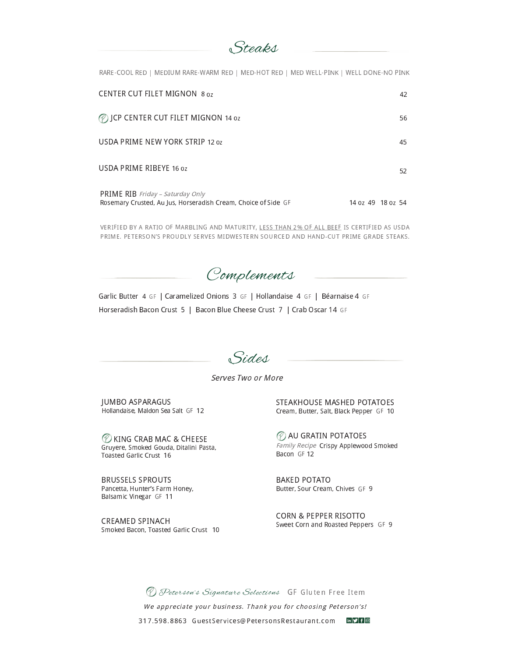Steaks

RARE-COOL RED | MEDIUM RARE-WARM RED | MED-HOT RED | MED WELL-PINK | WELL DONE-NO PINK

| <b>CENTER CUT FILET MIGNON 8 oz</b>                                                                       |                   | 42 |
|-----------------------------------------------------------------------------------------------------------|-------------------|----|
| <b><i>(2)</i></b> JCP CENTER CUT FILET MIGNON 14 oz                                                       |                   | 56 |
| USDA PRIME NEW YORK STRIP 12 oz                                                                           |                   | 45 |
| USDA PRIME RIBEYE 16 oz                                                                                   |                   | 52 |
| <b>PRIME RIB</b> Friday - Saturday Only<br>Rosemary Crusted, Au Jus, Horseradish Cream, Choice of Side GF | 14 oz 49 18 oz 54 |    |

VERIFIED BY A RATIO OF MARBLING AND MATURITY, LESS THAN 2% OF ALL BEEF IS CERTIFIED AS USDA PRIME. PETERSON'S PROUDLY SERVES MIDWESTERN SOURCED AND HAND-CUT PRIME GRADE STEAKS.

Complements

Garlic Butter 4 GF | Caramelized Onions 3 GF | Hollandaise 4 GF | Béarnaise 4 GF Horseradish Bacon Crust 5 | Bacon Blue Cheese Crust 7 | Crab Oscar 14 GF

Sides

Serves Two or More

**JUMBO ASPARAGUS** Hollandaise, Maldon Sea Salt GF 12

C KING CRAB MAC & CHEESE Gruyere, Smoked Gouda, Ditalini Pasta, Toasted Garlic Crust 16

**BRUSSELS SPROUTS** Pancetta, Hunter's Farm Honey, Balsamic Vinegar GF 11

CREAMED SPINACH Smoked Bacon, Toasted Garlic Crust 10 STEAKHOUSE MASHED POTATOES Cream, Butter, Salt, Black Pepper GF 10

*AU GRATIN POTATOES* Family Recipe Crispy Applewood Smoked Bacon GF12

**BAKED POTATO** Butter, Sour Cream, Chives GF 9

**CORN & PEPPER RISOTTO** Sweet Corn and Roasted Peppers GF 9

D Peterson's Signature Selections GF Gluten Free Item We appreciate your business. Thank you for choosing Peterson's! 317.598.8863 GuestServices@PetersonsRestaurant.com mDfl@